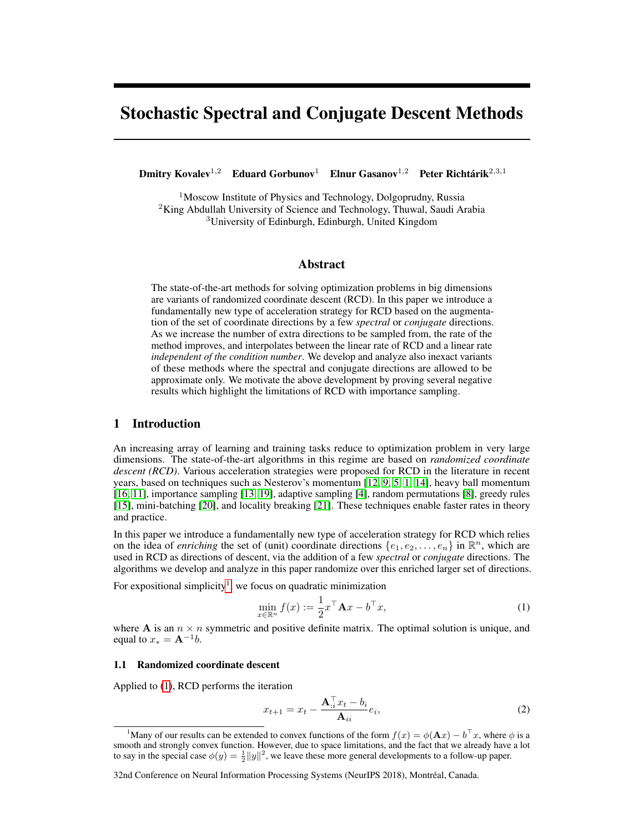# Stochastic Spectral and Conjugate Descent Methods

Dmitry Kovalev<sup>1,2</sup> Eduard Gorbunov<sup>1</sup> Elnur Gasanov<sup>1,2</sup> Peter Richtárik<sup>2,3,1</sup>

<sup>1</sup>Moscow Institute of Physics and Technology, Dolgoprudny, Russia <sup>2</sup>King Abdullah University of Science and Technology, Thuwal, Saudi Arabia <sup>3</sup>University of Edinburgh, Edinburgh, United Kingdom

## Abstract

The state-of-the-art methods for solving optimization problems in big dimensions are variants of randomized coordinate descent (RCD). In this paper we introduce a fundamentally new type of acceleration strategy for RCD based on the augmentation of the set of coordinate directions by a few *spectral* or *conjugate* directions. As we increase the number of extra directions to be sampled from, the rate of the method improves, and interpolates between the linear rate of RCD and a linear rate *independent of the condition number*. We develop and analyze also inexact variants of these methods where the spectral and conjugate directions are allowed to be approximate only. We motivate the above development by proving several negative results which highlight the limitations of RCD with importance sampling.

# 1 Introduction

An increasing array of learning and training tasks reduce to optimization problem in very large dimensions. The state-of-the-art algorithms in this regime are based on *randomized coordinate descent (RCD)*. Various acceleration strategies were proposed for RCD in the literature in recent years, based on techniques such as Nesterov's momentum [12, 9, 5, 1, 14], heavy ball momentum [16, 11], importance sampling [13, 19], adaptive sampling [4], random permutations [8], greedy rules [15], mini-batching [20], and locality breaking [21]. These techniques enable faster rates in theory and practice.

In this paper we introduce a fundamentally new type of acceleration strategy for RCD which relies on the idea of *enriching* the set of (unit) coordinate directions  $\{e_1, e_2, \ldots, e_n\}$  in  $\mathbb{R}^n$ , which are used in RCD as directions of descent, via the addition of a few *spectral* or *conjugate* directions. The algorithms we develop and analyze in this paper randomize over this enriched larger set of directions.

For expositional simplicity<sup>1</sup>, we focus on quadratic minimization

$$
\min_{x \in \mathbb{R}^n} f(x) := \frac{1}{2} x^\top \mathbf{A} x - b^\top x,\tag{1}
$$

where A is an  $n \times n$  symmetric and positive definite matrix. The optimal solution is unique, and equal to  $x_* = A^{-1}b$ .

## 1.1 Randomized coordinate descent

Applied to (1), RCD performs the iteration

$$
x_{t+1} = x_t - \frac{\mathbf{A}_{:i}^{\top} x_t - b_i}{\mathbf{A}_{ii}} e_i,
$$
 (2)

<sup>&</sup>lt;sup>1</sup>Many of our results can be extended to convex functions of the form  $f(x) = \phi(\mathbf{A}x) - b^{\top}x$ , where  $\phi$  is a smooth and strongly convex function. However, due to space limitations, and the fact that we already have a lot to say in the special case  $\phi(y) = \frac{1}{2} ||y||^2$ , we leave these more general developments to a follow-up paper.

<sup>32</sup>nd Conference on Neural Information Processing Systems (NeurIPS 2018), Montréal, Canada.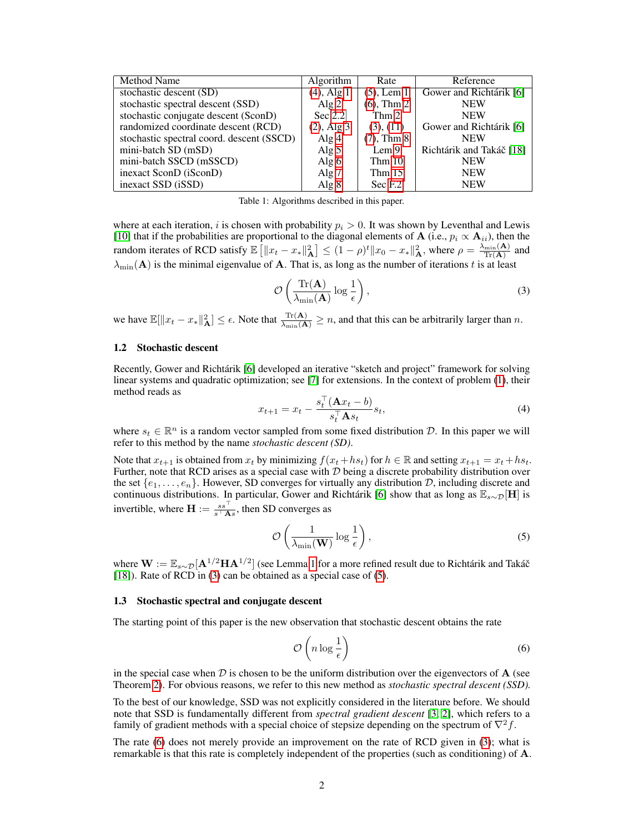| <b>Method Name</b>                        | <b>Algorithm</b> | Rate              | Reference                |
|-------------------------------------------|------------------|-------------------|--------------------------|
| stochastic descent (SD)                   | $(4)$ , Alg 1    | $(5)$ , Lem 1     | Gower and Richtárik [6]  |
| stochastic spectral descent (SSD)         | Alg $2$          | $(6)$ , Thm 2     | <b>NEW</b>               |
| stochastic conjugate descent (SconD)      | Sec $2.2$        | Thm 2             | <b>NEW</b>               |
| randomized coordinate descent (RCD)       | $(2)$ , Alg 3    | (3), (11)         | Gower and Richtárik [6]  |
| stochastic spectral coord. descent (SSCD) | Alg $4$          | $(7)$ , Thm $8$   | <b>NEW</b>               |
| mini-batch SD (mSD)                       | Alg $5$          | Lem <sub>9</sub>  | Richtárik and Takáč [18] |
| mini-batch SSCD (mSSCD)                   | Alg $6$          | Thm <sub>10</sub> | <b>NEW</b>               |
| inexact SconD (iSconD)                    | Alg $7$          | Thm $15$          | <b>NEW</b>               |
| inexact SSD (iSSD)                        | Alg $8$          | Sec F.2           | <b>NEW</b>               |

Table 1: Algorithms described in this paper.

where at each iteration, i is chosen with probability  $p_i > 0$ . It was shown by Leventhal and Lewis [10] that if the probabilities are proportional to the diagonal elements of A (i.e.,  $p_i \propto A_{ii}$ ), then the random iterates of RCD satisfy  $\mathbb{E}\left[\left\|x_t - x_*\right\|_{\mathbf{A}}^2\right] \leq (1-\rho)^t \|x_0 - x_*\|_{\mathbf{A}}^2$ , where  $\rho = \frac{\lambda_{\min}(\mathbf{A})}{\text{Tr}(\mathbf{A})}$  and  $\lambda_{\min}(\mathbf{A})$  is the minimal eigenvalue of A. That is, as long as the number of iterations t is at least

$$
\mathcal{O}\left(\frac{\text{Tr}(\mathbf{A})}{\lambda_{\min}(\mathbf{A})}\log\frac{1}{\epsilon}\right),\tag{3}
$$

we have  $\mathbb{E}[\|x_t - x_*\|_A^2] \leq \epsilon$ . Note that  $\frac{\text{Tr}(\mathbf{A})}{\lambda_{\min}(\mathbf{A})} \geq n$ , and that this can be arbitrarily larger than n.

#### 1.2 Stochastic descent

Recently, Gower and Richtárik [6] developed an iterative "sketch and project" framework for solving linear systems and quadratic optimization; see [7] for extensions. In the context of problem (1), their method reads as

$$
x_{t+1} = x_t - \frac{s_t^{\top}(\mathbf{A}x_t - b)}{s_t^{\top} \mathbf{A} s_t} s_t,
$$
\n<sup>(4)</sup>

where  $s_t \in \mathbb{R}^n$  is a random vector sampled from some fixed distribution  $\mathcal{D}$ . In this paper we will refer to this method by the name *stochastic descent (SD)*.

Note that  $x_{t+1}$  is obtained from  $x_t$  by minimizing  $f(x_t + h s_t)$  for  $h \in \mathbb{R}$  and setting  $x_{t+1} = x_t + h s_t$ . Further, note that RCD arises as a special case with  $D$  being a discrete probability distribution over the set  $\{e_1, \ldots, e_n\}$ . However, SD converges for virtually any distribution  $D$ , including discrete and continuous distributions. In particular, Gower and Richtárik [6] show that as long as  $\mathbb{E}_{s \sim \mathcal{D}}[\mathbf{H}]$  is invertible, where  $\mathbf{H} := \frac{s s^\top}{s^\top \mathbf{A} s}$ , then SD converges as

$$
\mathcal{O}\left(\frac{1}{\lambda_{\min}(\mathbf{W})}\log\frac{1}{\epsilon}\right),\tag{5}
$$

where  $\mathbf{W}:=\mathbb{E}_{s\sim\mathcal{D}}[\mathbf{A}^{1/2}\mathbf{H}\mathbf{A}^{1/2}]$  (see Lemma 1 for a more refined result due to Richtárik and Takáč [18]). Rate of RCD in (3) can be obtained as a special case of (5).

#### 1.3 Stochastic spectral and conjugate descent

The starting point of this paper is the new observation that stochastic descent obtains the rate

$$
\mathcal{O}\left(n\log\frac{1}{\epsilon}\right) \tag{6}
$$

in the special case when  $\mathcal D$  is chosen to be the uniform distribution over the eigenvectors of **A** (see Theorem 2). For obvious reasons, we refer to this new method as *stochastic spectral descent (SSD).*

To the best of our knowledge, SSD was not explicitly considered in the literature before. We should note that SSD is fundamentally different from *spectral gradient descent* [3, 2], which refers to a family of gradient methods with a special choice of stepsize depending on the spectrum of  $\nabla^2 f$ .

The rate (6) does not merely provide an improvement on the rate of RCD given in (3); what is remarkable is that this rate is completely independent of the properties (such as conditioning) of A.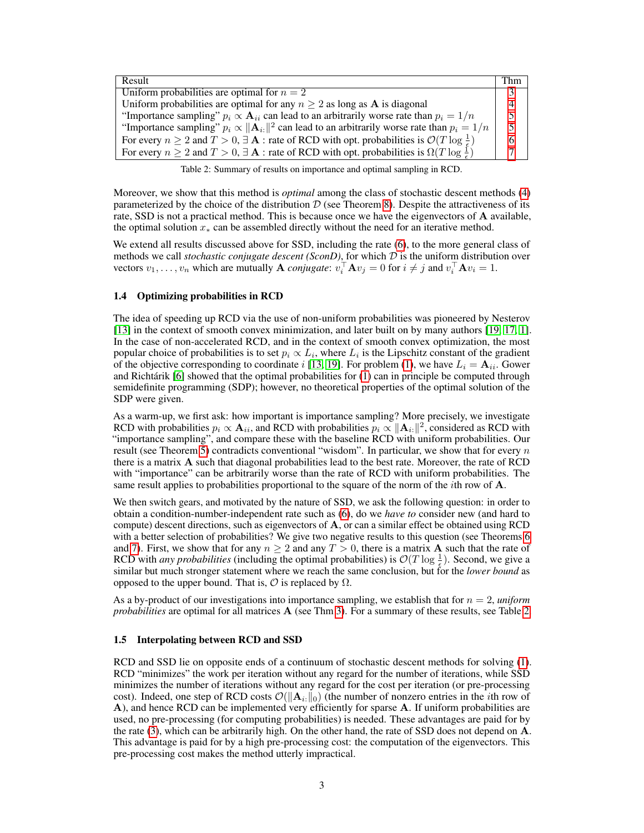| Result                                                                                                                                 | - Thm |  |
|----------------------------------------------------------------------------------------------------------------------------------------|-------|--|
| Uniform probabilities are optimal for $n = 2$                                                                                          |       |  |
| Uniform probabilities are optimal for any $n \geq 2$ as long as <b>A</b> is diagonal                                                   |       |  |
| "Importance sampling" $p_i \propto A_{ii}$ can lead to an arbitrarily worse rate than $p_i = 1/n$                                      |       |  |
| "Importance sampling" $p_i \propto   \mathbf{A}_{i}  ^2$ can lead to an arbitrarily worse rate than $p_i = 1/n$                        |       |  |
| For every $n \ge 2$ and $T > 0$ , $\exists$ <b>A</b> : rate of RCD with opt. probabilities is $\mathcal{O}(T \log \frac{1}{\epsilon})$ |       |  |
| For every $n \ge 2$ and $T > 0$ , $\exists$ <b>A</b> : rate of RCD with opt. probabilities is $\Omega(T \log \frac{1}{\epsilon})$      |       |  |

Table 2: Summary of results on importance and optimal sampling in RCD.

Moreover, we show that this method is *optimal* among the class of stochastic descent methods (4) parameterized by the choice of the distribution  $D$  (see Theorem 8). Despite the attractiveness of its rate, SSD is not a practical method. This is because once we have the eigenvectors of A available, the optimal solution  $x_*$  can be assembled directly without the need for an iterative method.

We extend all results discussed above for SSD, including the rate (6), to the more general class of methods we call *stochastic conjugate descent* (*SconD*), for which  $D$  is the uniform distribution over vectors  $v_1, \ldots, v_n$  which are mutually **A** *conjugate*:  $v_i^{\top} A v_j = 0$  for  $i \neq j$  and  $v_i^{\top} A v_i = 1$ .

#### 1.4 Optimizing probabilities in RCD

The idea of speeding up RCD via the use of non-uniform probabilities was pioneered by Nesterov [13] in the context of smooth convex minimization, and later built on by many authors [19, 17, 1]. In the case of non-accelerated RCD, and in the context of smooth convex optimization, the most popular choice of probabilities is to set  $p_i \propto L_i$ , where  $L_i$  is the Lipschitz constant of the gradient of the objective corresponding to coordinate i [13, 19]. For problem (1), we have  $L_i = \mathbf{A}_{ii}$ . Gower and Richtárik [6] showed that the optimal probabilities for (1) can in principle be computed through semidefinite programming (SDP); however, no theoretical properties of the optimal solution of the SDP were given.

As a warm-up, we first ask: how important is importance sampling? More precisely, we investigate RCD with probabilities  $p_i \propto \mathbf{A}_{ii}$ , and RCD with probabilities  $p_i \propto ||\mathbf{A}_{i:}||^2$ , considered as RCD with "importance sampling", and compare these with the baseline RCD with uniform probabilities. Our result (see Theorem 5) contradicts conventional "wisdom". In particular, we show that for every  $n$ there is a matrix A such that diagonal probabilities lead to the best rate. Moreover, the rate of RCD with "importance" can be arbitrarily worse than the rate of RCD with uniform probabilities. The same result applies to probabilities proportional to the square of the norm of the *i*th row of **A**.

We then switch gears, and motivated by the nature of SSD, we ask the following question: in order to obtain a condition-number-independent rate such as (6), do we *have to* consider new (and hard to compute) descent directions, such as eigenvectors of A, or can a similar effect be obtained using RCD with a better selection of probabilities? We give two negative results to this question (see Theorems 6 and 7). First, we show that for any  $n \geq 2$  and any  $T > 0$ , there is a matrix **A** such that the rate of RCD with *any probabilities* (including the optimal probabilities) is  $\mathcal{O}(T \log \frac{1}{5})$ . Second, we give a similar but much stronger statement where we reach the same conclusion, but for the *lower bound* as opposed to the upper bound. That is,  $\mathcal O$  is replaced by  $\Omega$ .

As a by-product of our investigations into importance sampling, we establish that for  $n = 2$ , *uniform probabilities* are optimal for all matrices **A** (see Thm 3). For a summary of these results, see Table 2.

#### 1.5 Interpolating between RCD and SSD

RCD and SSD lie on opposite ends of a continuum of stochastic descent methods for solving (1). RCD "minimizes" the work per iteration without any regard for the number of iterations, while SSD minimizes the number of iterations without any regard for the cost per iteration (or pre-processing cost). Indeed, one step of RCD costs  $\mathcal{O}(|\mathbf{A}_{i:0}|_0)$  (the number of nonzero entries in the *i*th row of A), and hence RCD can be implemented very efficiently for sparse A. If uniform probabilities are used, no pre-processing (for computing probabilities) is needed. These advantages are paid for by the rate (3), which can be arbitrarily high. On the other hand, the rate of SSD does not depend on A. This advantage is paid for by a high pre-processing cost: the computation of the eigenvectors. This pre-processing cost makes the method utterly impractical.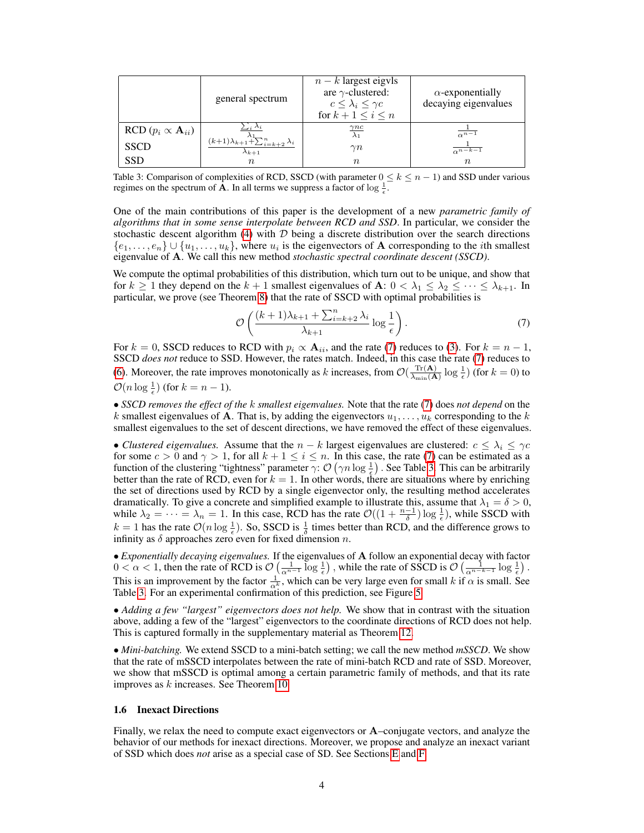|                            | general spectrum                                                                    | $n - k$ largest eigvls<br>are $\gamma$ -clustered:<br>$c \leq \lambda_i \leq \gamma c$<br>for $k+1 \leq i \leq n$ | $\alpha$ -exponentially<br>decaying eigenvalues |
|----------------------------|-------------------------------------------------------------------------------------|-------------------------------------------------------------------------------------------------------------------|-------------------------------------------------|
| RCD $(p_i \propto A_{ii})$ | $\cup_i \wedge_i$                                                                   | $\gamma nc$<br>$\lambda_1$                                                                                        | $\frac{1}{\alpha^{n-1}}$                        |
| <b>SSCD</b>                | $(k+1)\lambda_{k+1}$ <sup>1</sup> $\sum_{i=k+2}^{n}$ $\lambda_i$<br>$\lambda_{k+1}$ | $\gamma n$                                                                                                        | $\overline{\alpha^{n-k-1}}$                     |
| <b>SSD</b>                 | $\, n$                                                                              | $\, n$                                                                                                            | $\, n$                                          |

Table 3: Comparison of complexities of RCD, SSCD (with parameter  $0 \le k \le n - 1$ ) and SSD under various regimes on the spectrum of  $\hat{A}$ . In all terms we suppress a factor of  $\log \frac{1}{\epsilon}$ .

One of the main contributions of this paper is the development of a new *parametric family of algorithms that in some sense interpolate between RCD and SSD*. In particular, we consider the stochastic descent algorithm (4) with  $D$  being a discrete distribution over the search directions  $\{e_1, \ldots, e_n\} \cup \{u_1, \ldots, u_k\}$ , where  $u_i$  is the eigenvectors of **A** corresponding to the *i*th smallest eigenvalue of A. We call this new method *stochastic spectral coordinate descent (SSCD)*.

We compute the optimal probabilities of this distribution, which turn out to be unique, and show that for  $k \ge 1$  they depend on the  $k + 1$  smallest eigenvalues of **A**:  $0 < \lambda_1 \le \lambda_2 \le \cdots \le \lambda_{k+1}$ . In particular, we prove (see Theorem 8) that the rate of SSCD with optimal probabilities is

$$
\mathcal{O}\left(\frac{(k+1)\lambda_{k+1} + \sum_{i=k+2}^{n} \lambda_i}{\lambda_{k+1}} \log \frac{1}{\epsilon}\right). \tag{7}
$$

For  $k = 0$ , SSCD reduces to RCD with  $p_i \propto A_{ii}$ , and the rate (7) reduces to (3). For  $k = n - 1$ , SSCD *does not* reduce to SSD. However, the rates match. Indeed, in this case the rate (7) reduces to (6). Moreover, the rate improves monotonically as k increases, from  $\mathcal{O}(\frac{\text{Tr}(\mathbf{A})}{\lambda}$  $\frac{\text{Tr}(\mathbf{A})}{\lambda_{\min}(\mathbf{A})} \log \frac{1}{\epsilon}$  (for  $k = 0$ ) to

 $\mathcal{O}(n \log \frac{1}{\epsilon})$  (for  $k = n - 1$ ).

• *SSCD removes the effect of the* k *smallest eigenvalues.* Note that the rate (7) does *not depend* on the k smallest eigenvalues of A. That is, by adding the eigenvectors  $u_1, \ldots, u_k$  corresponding to the k smallest eigenvalues to the set of descent directions, we have removed the effect of these eigenvalues.

• *Clustered eigenvalues.* Assume that the  $n - k$  largest eigenvalues are clustered:  $c \leq \lambda_i \leq \gamma c$ for some  $c > 0$  and  $\gamma > 1$ , for all  $k + 1 \le i \le n$ . In this case, the rate (7) can be estimated as a function of the clustering "tightness" parameter  $\gamma$ :  $\mathcal{O}(\gamma n \log \frac{1}{\epsilon})$ . See Table 3. This can be arbitrarily better than the rate of RCD, even for  $k = 1$ . In other words, there are situations where by enriching the set of directions used by RCD by a single eigenvector only, the resulting method accelerates dramatically. To give a concrete and simplified example to illustrate this, assume that  $\lambda_1 = \delta > 0$ , while  $\lambda_2 = \cdots = \lambda_n = 1$ . In this case, RCD has the rate  $\mathcal{O}((1 + \frac{n-1}{\delta}) \log \frac{1}{\epsilon})$ , while SSCD with  $k = 1$  has the rate  $\mathcal{O}(n \log \frac{1}{\epsilon})$ . So, SSCD is  $\frac{1}{\delta}$  times better than RCD, and the difference grows to infinity as  $\delta$  approaches zero even for fixed dimension n.

• *Exponentially decaying eigenvalues.* If the eigenvalues of A follow an exponential decay with factor  $0 < \alpha < 1$ , then the rate of RCD is  $\mathcal{O}\left(\frac{1}{\alpha^{n-1}}\log\frac{1}{\epsilon}\right)$ , while the rate of SSCD is  $\mathcal{O}\left(\frac{1}{\alpha^{n-k-1}}\log\frac{1}{\epsilon}\right)$ . This is an improvement by the factor  $\frac{1}{\alpha^k}$ , which can be very large even for small k if  $\alpha$  is small. See Table 3. For an experimental confirmation of this prediction, see Figure 5.

• *Adding a few "largest" eigenvectors does not help.* We show that in contrast with the situation above, adding a few of the "largest" eigenvectors to the coordinate directions of RCD does not help. This is captured formally in the supplementary material as Theorem 12.

• *Mini-batching.* We extend SSCD to a mini-batch setting; we call the new method *mSSCD*. We show that the rate of mSSCD interpolates between the rate of mini-batch RCD and rate of SSD. Moreover, we show that mSSCD is optimal among a certain parametric family of methods, and that its rate improves as k increases. See Theorem 10.

#### 1.6 Inexact Directions

Finally, we relax the need to compute exact eigenvectors or A–conjugate vectors, and analyze the behavior of our methods for inexact directions. Moreover, we propose and analyze an inexact variant of SSD which does *not* arise as a special case of SD. See Sections E and F.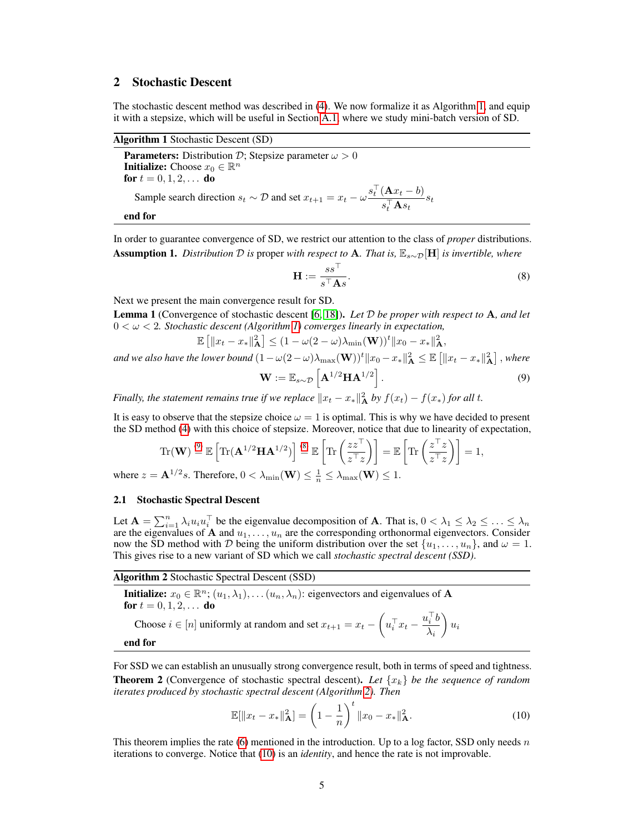# 2 Stochastic Descent

The stochastic descent method was described in (4). We now formalize it as Algorithm 1, and equip it with a stepsize, which will be useful in Section A.1, where we study mini-batch version of SD.

Algorithm 1 Stochastic Descent (SD)

**Parameters:** Distribution D; Stepsize parameter  $\omega > 0$ **Initialize:** Choose  $x_0 \in \mathbb{R}^n$ for  $t = 0, 1, 2, ...$  do Sample search direction  $s_t \sim \mathcal{D}$  and set  $x_{t+1} = x_t - \omega \frac{s_t^{\top} (\mathbf{A} x_t - b)}{\top \mathbf{A}}$  $\frac{\sum_{t=1}^{t} S_t}{s_t^{\top} \mathbf{A} s_t} s_t$ end for

In order to guarantee convergence of SD, we restrict our attention to the class of *proper* distributions. Assumption 1. *Distribution* D *is* proper *with respect to* A*. That is,* Es∼D[H] *is invertible, where*

$$
\mathbf{H} := \frac{ss^{\top}}{s^{\top} \mathbf{A}s}.
$$
 (8)

Next we present the main convergence result for SD.

Lemma 1 (Convergence of stochastic descent [6, 18]). *Let* D *be proper with respect to* A*, and let* 0 < ω < 2*. Stochastic descent (Algorithm 1) converges linearly in expectation,*

$$
\mathbb{E}\left[\left\|x_t - x_*\right\|_{\mathbf{A}}^2\right] \le (1 - \omega(2 - \omega)\lambda_{\min}(\mathbf{W}))^t \|x_0 - x_*\|_{\mathbf{A}}^2,
$$

and we also have the lower bound  $(1-\omega(2-\omega)\lambda_{\max}(\mathbf{W}))^t\|x_0-x_*\|_{\mathbf{A}}^2\leq \mathbb{E}\left[\|x_t-x_*\|_{\mathbf{A}}^2\right],$  where

$$
\mathbf{W} := \mathbb{E}_{s \sim \mathcal{D}} \left[ \mathbf{A}^{1/2} \mathbf{H} \mathbf{A}^{1/2} \right]. \tag{9}
$$

*Finally, the statement remains true if we replace*  $||x_t - x_*||^2$  *by*  $f(x_t) - f(x_*)$  *for all t.* 

It is easy to observe that the stepsize choice  $\omega = 1$  is optimal. This is why we have decided to present the SD method (4) with this choice of stepsize. Moreover, notice that due to linearity of expectation,

$$
\operatorname{Tr}(\mathbf{W}) \stackrel{(9)}{=} \mathbb{E}\left[\operatorname{Tr}(\mathbf{A}^{1/2}\mathbf{H}\mathbf{A}^{1/2})\right] \stackrel{(8)}{=} \mathbb{E}\left[\operatorname{Tr}\left(\frac{z\overline{z}^{\top}}{z^{\top}z}\right)\right] = \mathbb{E}\left[\operatorname{Tr}\left(\frac{z^{\top}z}{z^{\top}z}\right)\right] = 1,
$$

where  $z = \mathbf{A}^{1/2} s$ . Therefore,  $0 < \lambda_{\min}(\mathbf{W}) \leq \frac{1}{n} \leq \lambda_{\max}(\mathbf{W}) \leq 1$ .

#### 2.1 Stochastic Spectral Descent

Let  $\mathbf{A} = \sum_{i=1}^n \lambda_i u_i u_i^\top$  be the eigenvalue decomposition of **A**. That is,  $0 < \lambda_1 \leq \lambda_2 \leq \ldots \leq \lambda_n$ are the eigenvalues of A and  $u_1, \ldots, u_n$  are the corresponding orthonormal eigenvectors. Consider now the SD method with D being the uniform distribution over the set  $\{u_1, \ldots, u_n\}$ , and  $\omega = 1$ . This gives rise to a new variant of SD which we call *stochastic spectral descent (SSD)*.

Algorithm 2 Stochastic Spectral Descent (SSD)

**Initialize:**  $x_0 \in \mathbb{R}^n$ ;  $(u_1, \lambda_1)$ , ...  $(u_n, \lambda_n)$ : eigenvectors and eigenvalues of **A** for  $t = 0, 1, 2, \ldots$  do

Choose 
$$
i \in [n]
$$
 uniformly at random and set  $x_{t+1} = x_t - \left(u_i^\top x_t - \frac{u_i^\top b}{\lambda_i}\right) u_i$   
end for

For SSD we can establish an unusually strong convergence result, both in terms of speed and tightness. **Theorem 2** (Convergence of stochastic spectral descent). Let  $\{x_k\}$  be the sequence of random *iterates produced by stochastic spectral descent (Algorithm 2). Then*

$$
\mathbb{E}[\|x_t - x_*\|_{\mathbf{A}}^2] = \left(1 - \frac{1}{n}\right)^t \|x_0 - x_*\|_{\mathbf{A}}^2.
$$
 (10)

This theorem implies the rate (6) mentioned in the introduction. Up to a log factor, SSD only needs  $n$ iterations to converge. Notice that (10) is an *identity*, and hence the rate is not improvable.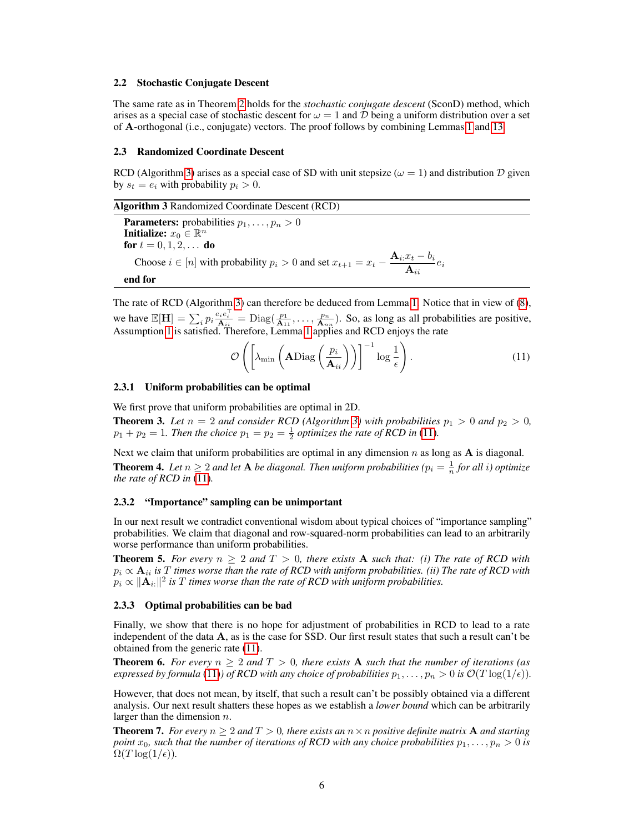#### 2.2 Stochastic Conjugate Descent

The same rate as in Theorem 2 holds for the *stochastic conjugate descent* (SconD) method, which arises as a special case of stochastic descent for  $\omega = 1$  and D being a uniform distribution over a set of A-orthogonal (i.e., conjugate) vectors. The proof follows by combining Lemmas 1 and 13.

#### 2.3 Randomized Coordinate Descent

RCD (Algorithm 3) arises as a special case of SD with unit stepsize ( $\omega = 1$ ) and distribution D given by  $s_t = e_i$  with probability  $p_i > 0$ .

Algorithm 3 Randomized Coordinate Descent (RCD)

**Parameters:** probabilities  $p_1, \ldots, p_n > 0$ Initialize:  $x_0 \in \mathbb{R}^n$ for  $t = 0, 1, 2, ...$  do Choose  $i \in [n]$  with probability  $p_i > 0$  and set  $x_{t+1} = x_t - \frac{\mathbf{A}_{i}:x_t - b_i}{\mathbf{A}_{i}:x_t - b_i}$  $\frac{a_i - a_i}{\mathbf{A}_{ii}} e_i$ end for

The rate of RCD (Algorithm 3) can therefore be deduced from Lemma 1. Notice that in view of (8), we have  $\mathbb{E}[\mathbf{H}] = \sum_i p_i \frac{e_i e_i^{\top}}{\mathbf{A}_{ii}} = \text{Diag}(\frac{p_1}{\mathbf{A}_{11}}, \dots, \frac{p_n}{\mathbf{A}_{nn}})$ . So, as long as all probabilities are positive,

Assumption 1 is satisfied. Therefore, Lemma 1 applies and RCD enjoys the rate

$$
\mathcal{O}\left(\left[\lambda_{\min}\left(\mathbf{A}\mathrm{Diag}\left(\frac{p_i}{\mathbf{A}_{ii}}\right)\right)\right]^{-1}\log\frac{1}{\epsilon}\right).
$$
\n(11)

#### 2.3.1 Uniform probabilities can be optimal

We first prove that uniform probabilities are optimal in 2D.

**Theorem 3.** Let  $n = 2$  and consider RCD (Algorithm 3) with probabilities  $p_1 > 0$  and  $p_2 > 0$ ,  $p_1 + p_2 = 1$ *. Then the choice*  $p_1 = p_2 = \frac{1}{2}$  *optimizes the rate of RCD in* (11)*.* 

Next we claim that uniform probabilities are optimal in any dimension  $n$  as long as  $A$  is diagonal. **Theorem 4.** Let  $n \geq 2$  and let **A** be diagonal. Then uniform probabilities ( $p_i = \frac{1}{n}$  for all i) optimize *the rate of RCD in* (11)*.*

#### 2.3.2 "Importance" sampling can be unimportant

In our next result we contradict conventional wisdom about typical choices of "importance sampling" probabilities. We claim that diagonal and row-squared-norm probabilities can lead to an arbitrarily worse performance than uniform probabilities.

**Theorem 5.** For every  $n \geq 2$  and  $T > 0$ , there exists **A** such that: (i) The rate of RCD with  $p_i \propto \mathbf{A}_{ii}$  is T times worse than the rate of RCD with uniform probabilities. (ii) The rate of RCD with  $p_i \propto \|\mathbf{A}_{i:}\|^2$  is  $T$  *times worse than the rate of RCD with uniform probabilities.* 

#### 2.3.3 Optimal probabilities can be bad

Finally, we show that there is no hope for adjustment of probabilities in RCD to lead to a rate independent of the data A, as is the case for SSD. Our first result states that such a result can't be obtained from the generic rate (11).

**Theorem 6.** For every  $n \geq 2$  and  $T > 0$ , there exists A such that the number of iterations (as *expressed by formula* (11)*) of RCD with any choice of probabilities*  $p_1, \ldots, p_n > 0$  *is*  $\mathcal{O}(T \log(1/\epsilon))$ *.* 

However, that does not mean, by itself, that such a result can't be possibly obtained via a different analysis. Our next result shatters these hopes as we establish a *lower bound* which can be arbitrarily larger than the dimension  $n$ .

**Theorem 7.** *For every*  $n \geq 2$  *and*  $T > 0$ *, there exists an*  $n \times n$  *positive definite matrix* **A** *and starting point*  $x_0$ , such that the number of iterations of RCD with any choice probabilities  $p_1, \ldots, p_n > 0$  is  $\Omega(T \log(1/\epsilon))$ .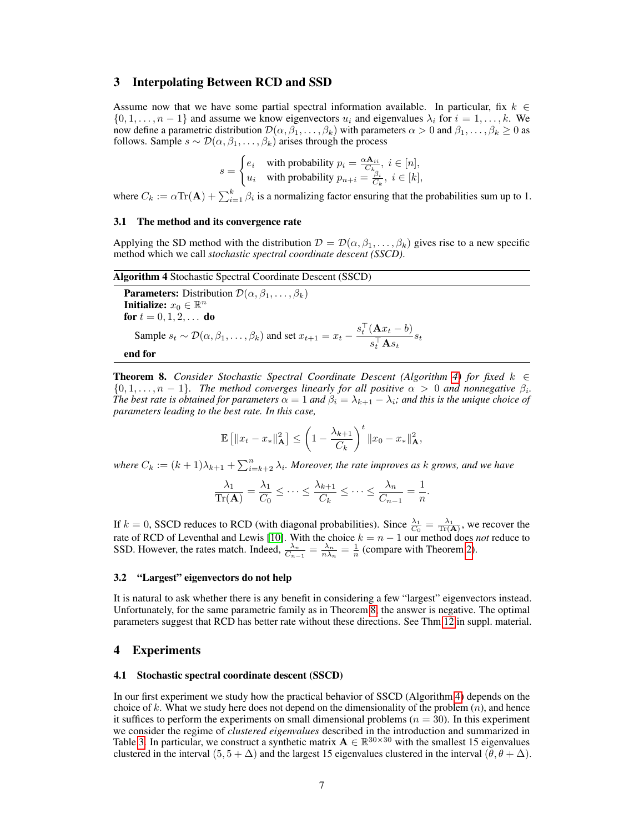## 3 Interpolating Between RCD and SSD

Assume now that we have some partial spectral information available. In particular, fix  $k \in \mathbb{Z}$  $\{0, 1, \ldots, n-1\}$  and assume we know eigenvectors  $u_i$  and eigenvalues  $\lambda_i$  for  $i = 1, \ldots, k$ . We now define a parametric distribution  $\mathcal{D}(\alpha, \beta_1, \dots, \beta_k)$  with parameters  $\alpha > 0$  and  $\beta_1, \dots, \beta_k \ge 0$  as follows. Sample  $s \sim \mathcal{D}(\alpha, \beta_1, \dots, \beta_k)$  arises through the process

$$
s = \begin{cases} e_i & \text{with probability } p_i = \frac{\alpha \mathbf{A}_{ii}}{C_k}, \ i \in [n], \\ u_i & \text{with probability } p_{n+i} = \frac{\beta}{C_k}, \ i \in [k], \end{cases}
$$

where  $C_k := \alpha \text{Tr}(\mathbf{A}) + \sum_{i=1}^k \beta_i$  is a normalizing factor ensuring that the probabilities sum up to 1.

#### 3.1 The method and its convergence rate

Applying the SD method with the distribution  $\mathcal{D} = \mathcal{D}(\alpha, \beta_1, \dots, \beta_k)$  gives rise to a new specific method which we call *stochastic spectral coordinate descent (SSCD)*.

**Algorithm 4 Stochastic Spectral Coordinate Descent (SSCD)**  
\n**Parameters:** Distribution 
$$
\mathcal{D}(\alpha, \beta_1, ..., \beta_k)
$$
  
\n**Initialize:**  $x_0 \in \mathbb{R}^n$   
\n**for**  $t = 0, 1, 2, ...$  **do**  
\nSample  $s_t \sim \mathcal{D}(\alpha, \beta_1, ..., \beta_k)$  and set  $x_{t+1} = x_t - \frac{s_t^\top (\mathbf{A} x_t - b)}{s_t^\top \mathbf{A} s_t} s_t$   
\n**end for**

**Theorem 8.** *Consider Stochastic Spectral Coordinate Descent (Algorithm 4) for fixed*  $k \in \mathbb{Z}$  $\{0, 1, \ldots, n-1\}$ . The method converges linearly for all positive  $\alpha > 0$  and nonnegative  $\beta_i$ . *The best rate is obtained for parameters*  $\alpha = 1$  *and*  $\beta_i = \lambda_{k+1} - \lambda_i$ *; and this is the unique choice of parameters leading to the best rate. In this case,*

$$
\mathbb{E} [||x_t - x_*||_A^2] \leq \left(1 - \frac{\lambda_{k+1}}{C_k}\right)^t ||x_0 - x_*||_A^2,
$$

where  $C_k := (k+1)\lambda_{k+1} + \sum_{i=k+2}^n \lambda_i$ *. Moreover, the rate improves as k grows, and we have* 

$$
\frac{\lambda_1}{\text{Tr}(\mathbf{A})} = \frac{\lambda_1}{C_0} \le \dots \le \frac{\lambda_{k+1}}{C_k} \le \dots \le \frac{\lambda_n}{C_{n-1}} = \frac{1}{n}.
$$

If  $k = 0$ , SSCD reduces to RCD (with diagonal probabilities). Since  $\frac{\lambda_1}{C_0} = \frac{\lambda_1}{\text{Tr}(\mathbf{A})}$ , we recover the rate of RCD of Leventhal and Lewis [10]. With the choice  $k = n - 1$  our method does *not* reduce to SSD. However, the rates match. Indeed,  $\frac{\lambda_n}{C_{n-1}} = \frac{\lambda_n}{n\lambda_n} = \frac{1}{n}$  (compare with Theorem 2).

#### 3.2 "Largest" eigenvectors do not help

It is natural to ask whether there is any benefit in considering a few "largest" eigenvectors instead. Unfortunately, for the same parametric family as in Theorem 8, the answer is negative. The optimal parameters suggest that RCD has better rate without these directions. See Thm 12 in suppl. material.

## 4 Experiments

#### 4.1 Stochastic spectral coordinate descent (SSCD)

In our first experiment we study how the practical behavior of SSCD (Algorithm 4) depends on the choice of k. What we study here does not depend on the dimensionality of the problem  $(n)$ , and hence it suffices to perform the experiments on small dimensional problems  $(n = 30)$ . In this experiment we consider the regime of *clustered eigenvalues* described in the introduction and summarized in Table 3. In particular, we construct a synthetic matrix  $\mathbf{A} \in \mathbb{R}^{30 \times 30}$  with the smallest 15 eigenvalues clustered in the interval  $(5, 5 + \Delta)$  and the largest 15 eigenvalues clustered in the interval  $(\theta, \theta + \Delta)$ .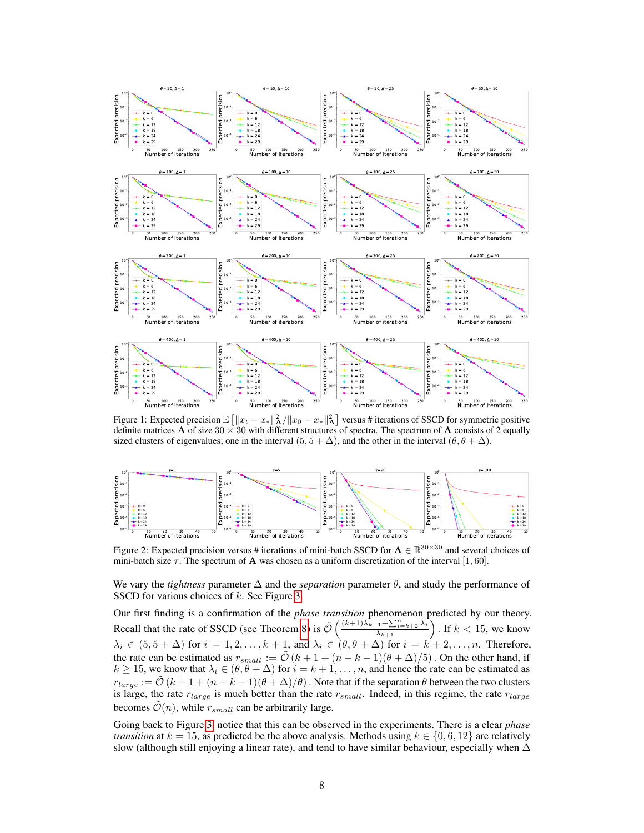

Figure 1: Expected precision  $\mathbb{E}\left[\|x_t - x_*\|_A^2 / \|x_0 - x_*\|_A^2\right]$  versus # iterations of SSCD for symmetric positive definite matrices **A** of size 30  $\times$  30 with different structures of spectra. The spectrum of **A** consists of 2 equally sized clusters of eigenvalues; one in the interval  $(5, 5 + \Delta)$ , and the other in the interval  $(\theta, \theta + \Delta)$ .



Figure 2: Expected precision versus # iterations of mini-batch SSCD for  $A \in \mathbb{R}^{30 \times 30}$  and several choices of mini-batch size  $\tau$ . The spectrum of **A** was chosen as a uniform discretization of the interval [1, 60].

We vary the *tightness* parameter  $\Delta$  and the *separation* parameter  $\theta$ , and study the performance of SSCD for various choices of k. See Figure 3.

Our first finding is a confirmation of the *phase transition* phenomenon predicted by our theory. Recall that the rate of SSCD (see Theorem 8) is  $\tilde{\mathcal{O}}\left(\frac{(k+1)\lambda_{k+1}^2 + \sum_{i=k+2}^n \lambda_i}{\lambda_{k+1}}\right)$ . If  $k < 15$ , we know  $\lambda_i \in (5, 5 + \Delta)$  for  $i = 1, 2, \ldots, k + 1$ , and  $\lambda_i \in (\theta, \theta + \Delta)$  for  $i = k + 2, \ldots, n$ . Therefore, the rate can be estimated as  $r_{small} := \tilde{\mathcal{O}}(k + 1 + (n - k - 1)(\theta + \Delta)/5)$ . On the other hand, if  $k \ge 15$ , we know that  $\lambda_i \in (\theta, \theta + \Delta)$  for  $i = k + 1, \dots, n$ , and hence the rate can be estimated as  $r_{large} := \tilde{\mathcal{O}}(k+1+(n-k-1)(\theta+\Delta)/\theta)$ . Note that if the separation  $\theta$  between the two clusters is large, the rate  $r_{large}$  is much better than the rate  $r_{small}$ . Indeed, in this regime, the rate  $r_{large}$ becomes  $\mathcal{O}(n)$ , while  $r_{small}$  can be arbitrarily large.

Going back to Figure 3, notice that this can be observed in the experiments. There is a clear *phase transition* at  $k = 15$ , as predicted be the above analysis. Methods using  $k \in \{0, 6, 12\}$  are relatively slow (although still enjoying a linear rate), and tend to have similar behaviour, especially when  $\Delta$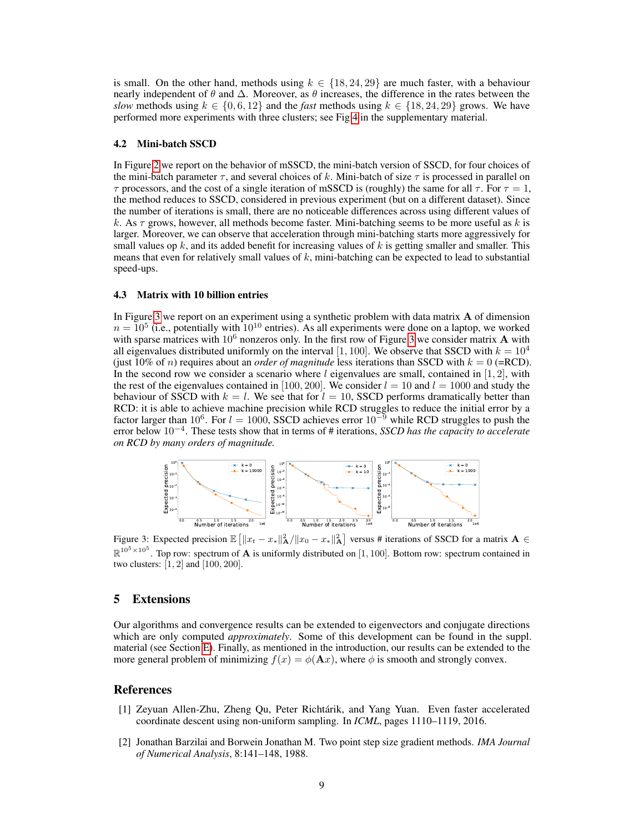is small. On the other hand, methods using  $k \in \{18, 24, 29\}$  are much faster, with a behaviour nearly independent of  $\theta$  and  $\Delta$ . Moreover, as  $\theta$  increases, the difference in the rates between the *slow* methods using  $k \in \{0, 6, 12\}$  and the *fast* methods using  $k \in \{18, 24, 29\}$  grows. We have performed more experiments with three clusters; see Fig 4 in the supplementary material.

#### 4.2 Mini-batch SSCD

In Figure 2 we report on the behavior of mSSCD, the mini-batch version of SSCD, for four choices of the mini-batch parameter  $\tau$ , and several choices of k. Mini-batch of size  $\tau$  is processed in parallel on  $\tau$  processors, and the cost of a single iteration of mSSCD is (roughly) the same for all  $\tau$ . For  $\tau = 1$ , the method reduces to SSCD, considered in previous experiment (but on a different dataset). Since the number of iterations is small, there are no noticeable differences across using different values of k. As  $\tau$  grows, however, all methods become faster. Mini-batching seems to be more useful as k is larger. Moreover, we can observe that acceleration through mini-batching starts more aggressively for small values op  $k$ , and its added benefit for increasing values of  $k$  is getting smaller and smaller. This means that even for relatively small values of  $k$ , mini-batching can be expected to lead to substantial speed-ups.

## 4.3 Matrix with 10 billion entries

In Figure 3 we report on an experiment using a synthetic problem with data matrix A of dimension  $n = 10^5$  (i.e., potentially with  $10^{10}$  entries). As all experiments were done on a laptop, we worked with sparse matrices with  $10^6$  nonzeros only. In the first row of Figure 3 we consider matrix A with all eigenvalues distributed uniformly on the interval [1, 100]. We observe that SSCD with  $k = 10^4$ (just 10% of *n*) requires about an *order of magnitude* less iterations than SSCD with  $k = 0$  (=RCD). In the second row we consider a scenario where  $l$  eigenvalues are small, contained in [1, 2], with the rest of the eigenvalues contained in [100, 200]. We consider  $l = 10$  and  $l = 1000$  and study the behaviour of SSCD with  $k = l$ . We see that for  $l = 10$ , SSCD performs dramatically better than RCD: it is able to achieve machine precision while RCD struggles to reduce the initial error by a factor larger than 10<sup>6</sup>. For  $l = 1000$ , SSCD achieves error 10<sup>-9</sup> while RCD struggles to push the error below 10<sup>−</sup><sup>4</sup> . These tests show that in terms of # iterations, *SSCD has the capacity to accelerate on RCD by many orders of magnitude.*



Figure 3: Expected precision  $\mathbb{E} \left[ \|x_t - x_*\|_A^2 / \|x_0 - x_*\|_A^2 \right]$  versus # iterations of SSCD for a matrix  $A \in$  $\mathbb{R}^{10^5 \times 10^5}$ . Top row: spectrum of **A** is uniformly distributed on [1, 100]. Bottom row: spectrum contained in two clusters: [1, 2] and [100, 200].

## 5 Extensions

Our algorithms and convergence results can be extended to eigenvectors and conjugate directions which are only computed *approximately*. Some of this development can be found in the suppl. material (see Section E). Finally, as mentioned in the introduction, our results can be extended to the more general problem of minimizing  $f(x) = \phi(\mathbf{A}x)$ , where  $\phi$  is smooth and strongly convex.

## References

- [1] Zeyuan Allen-Zhu, Zheng Qu, Peter Richtárik, and Yang Yuan. Even faster accelerated coordinate descent using non-uniform sampling. In *ICML*, pages 1110–1119, 2016.
- [2] Jonathan Barzilai and Borwein Jonathan M. Two point step size gradient methods. *IMA Journal of Numerical Analysis*, 8:141–148, 1988.